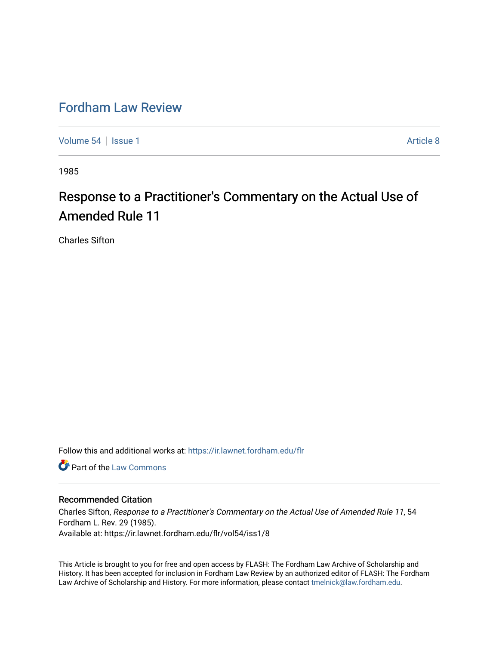## [Fordham Law Review](https://ir.lawnet.fordham.edu/flr)

[Volume 54](https://ir.lawnet.fordham.edu/flr/vol54) | [Issue 1](https://ir.lawnet.fordham.edu/flr/vol54/iss1) Article 8

1985

## Response to a Practitioner's Commentary on the Actual Use of Amended Rule 11

Charles Sifton

Follow this and additional works at: [https://ir.lawnet.fordham.edu/flr](https://ir.lawnet.fordham.edu/flr?utm_source=ir.lawnet.fordham.edu%2Fflr%2Fvol54%2Fiss1%2F8&utm_medium=PDF&utm_campaign=PDFCoverPages)

Part of the [Law Commons](http://network.bepress.com/hgg/discipline/578?utm_source=ir.lawnet.fordham.edu%2Fflr%2Fvol54%2Fiss1%2F8&utm_medium=PDF&utm_campaign=PDFCoverPages)

## Recommended Citation

Charles Sifton, Response to a Practitioner's Commentary on the Actual Use of Amended Rule 11, 54 Fordham L. Rev. 29 (1985). Available at: https://ir.lawnet.fordham.edu/flr/vol54/iss1/8

This Article is brought to you for free and open access by FLASH: The Fordham Law Archive of Scholarship and History. It has been accepted for inclusion in Fordham Law Review by an authorized editor of FLASH: The Fordham Law Archive of Scholarship and History. For more information, please contact [tmelnick@law.fordham.edu](mailto:tmelnick@law.fordham.edu).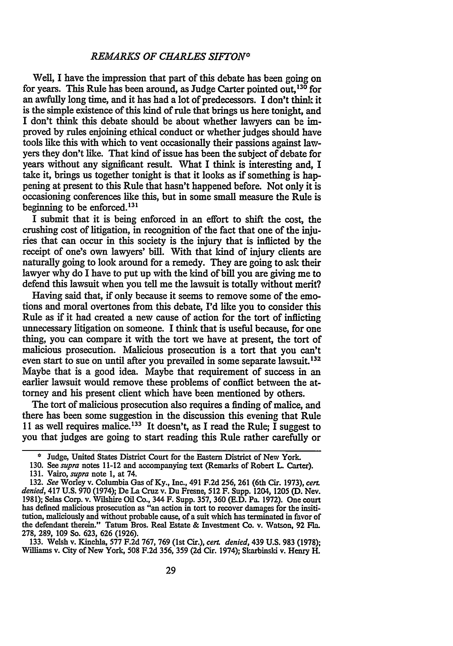## *REMARKS OF CHARLES SIFTON\**

Well, I have the impression that part of this debate has been going on for years. This Rule has been around, as Judge Carter pointed out, <sup>130</sup> for an awfully long time, and it has had a lot of predecessors. I don't think it is the simple existence of this kind of rule that brings us here tonight, and I don't think this debate should be about whether lawyers can be improved by rules enjoining ethical conduct or whether judges should have tools like this with which to vent occasionally their passions against lawyers they don't like. That kind of issue has been the subject of debate for years without any significant result. What I think is interesting and, I take it, brings us together tonight is that it looks as if something is happening at present to this Rule that hasn't happened before. Not only it is occasioning conferences like this, but in some small measure the Rule is beginning to be enforced.131

I submit that it is being enforced in an effort to shift the cost, the crushing cost of litigation, in recognition of the fact that one of the injuries that can occur in this society is the injury that is inflicted by the receipt of one's own lawyers' bill. With that kind of injury clients are naturally going to look around for a remedy. They are going to ask their lawyer why do I have to put up with the kind of bill you are giving me to defend this lawsuit when you tell me the lawsuit is totally without merit?

Having said that, if only because it seems to remove some of the emotions and moral overtones from this debate, I'd like you to consider this Rule as if it had created a new cause of action for the tort of inflicting unnecessary litigation on someone. I think that is useful because, for one thing, you can compare it with the tort we have at present, the tort of malicious prosecution. Malicious prosecution is a tort that you can't even start to sue on until after you prevailed in some separate lawsuit.<sup>132</sup> Maybe that is a good idea. Maybe that requirement of success in an earlier lawsuit would remove these problems of conflict between the attorney and his present client which have been mentioned by others.

The tort of malicious prosecution also requires a finding of malice, and there has been some suggestion in the discussion this evening that Rule 11 as well requires malice.<sup>133</sup> It doesn't, as I read the Rule; I suggest to you that judges are going to start reading this Rule rather carefully or

**278, 289, 109** So. **623, 626 (1926). 133.** Welsh v. Kinchla, **577 F.2d 767, 769** (1st Cir.), *cert. denied,* 439 **U.S. 983 (1978);** Williams v. City of New York, **508 F.2d 356,** 359 **(2d** Cir. 1974); Skarbinski v. Henry H.

**<sup>\*</sup>** Judge, United States District Court for the Eastern District of New York.

<sup>130.</sup> See *supra* notes 11-12 and accompanying text (Remarks of Robert L Carter). 131. Vairo, *supra* note 1, at 74.

<sup>132.</sup> *See* Worley v. Columbia Gas of Ky., Inc., 491 F.2d 256, 261 (6th Cir. 1973), *cert. denied,* 417 U.S. 970 (1974); De La Cruz v. Du Fresne, 512 F. Supp. 1204, 1205 (D. Nev. 1981); Selas Corp. v. Wilshire Oil Co., 344 F. Supp. 357, 360 (E.D. Pa. 1972). One court has defined malicious prosecution as "an action in tort to recover damages for the insititution, maliciously and without probable cause, of a suit which has terminated in favor of the defendant therein." Tatum Bros. Real Estate **&** Investment Co. v. Watson, **92 Fla.**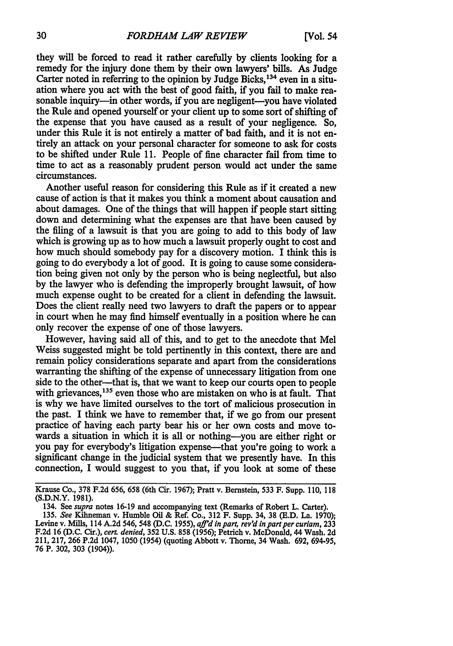they will be forced to read it rather carefully by clients looking for a remedy for the injury done them by their own lawyers' bills. As Judge Carter noted in referring to the opinion by Judge Bicks,  $134$  even in a situation where you act with the best of good faith, if you fail to make reasonable inquiry—in other words, if you are negligent—you have violated the Rule and opened yourself or your client up to some sort of shifting of the expense that you have caused as a result of your negligence. So, under this Rule it is not entirely a matter of bad faith, and it is not entirely an attack on your personal character for someone to ask for costs to be shifted under Rule 11. People of fine character fail from time to time to act as a reasonably prudent person would act under the same circumstances.

Another useful reason for considering this Rule as **if** it created a new cause of action is that it makes you think a moment about causation and about damages. One of the things that will happen if people start sitting down and determining what the expenses are that have been caused by the filing of a lawsuit is that you are going to add to this body of law which is growing up as to how much a lawsuit properly ought to cost and how much should somebody pay for a discovery motion. I think this is going to do everybody a lot of good. It is going to cause some consideration being given not only by the person who is being neglectful, but also by the lawyer who is defending the improperly brought lawsuit, of how much expense ought to be created for a client in defending the lawsuit. Does the client really need two lawyers to draft the papers or to appear in court when he may find himself eventually in a position where he can only recover the expense of one of those lawyers.

However, having said all of this, and to get to the anecdote that Mel Weiss suggested might be told pertinently in this context, there are and remain policy considerations separate and apart from the considerations warranting the shifting of the expense of unnecessary litigation from one side to the other-that is, that we want to keep our courts open to people with grievances,<sup>135</sup> even those who are mistaken on who is at fault. That is why we have limited ourselves to the tort of malicious prosecution in the past. I think we have to remember that, if we go from our present practice of having each party bear his or her own costs and move towards a situation in which it is all or nothing-you are either right or you pay for everybody's litigation expense—that you're going to work a significant change in the judicial system that we presently have. In this connection, I would suggest to you that, if you look at some of these

Krause Co., **378 F.2d 656, 658** (6th Cir. **1967);** Pratt v. Bernstein, **533** F. Supp. **110,** <sup>118</sup> **(S.D.N.Y. 1981).**

<sup>134.</sup> See *supra* notes **16-19** and accompanying text (Remarks of Robert L. Carter).

**<sup>135.</sup>** *See* Kihneman v. Humble Oil & Ref. Co., **312** F. Supp. 34, **38 (E.D.** La. **1970);** Levine v. Mills, 114 A.2d 546, 548 (D.C. 1955), *aff'd in part, rev'd in part per curtam*, 233 **F.2d 16 (D.C.** Cir.), *cert. denied,* **352 U.S. 858 (1956);** Petrich v. McDonald, 44 Wash. **2d** 211, **217, 266 P.2d** 1047, **1050** (1954) (quoting Abbott v. Thorne, 34 Wash. **692, 694-95, 76** P. **302, 303** (1904)).